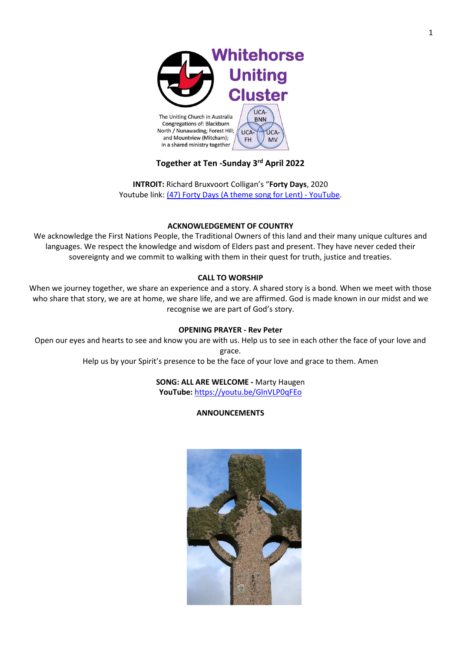

# **Together at Ten -Sunday 3rd April 2022**

**INTROIT:** Richard Bruxvoort Colligan's "**Forty Days**, 2020 Youtube link: [\(47\) Forty Days \(A theme song for Lent\) -](https://www.youtube.com/watch?v=AX2GnR7Wvd8&t=99s) YouTube.

## **ACKNOWLEDGEMENT OF COUNTRY**

We acknowledge the First Nations People, the Traditional Owners of this land and their many unique cultures and languages. We respect the knowledge and wisdom of Elders past and present. They have never ceded their sovereignty and we commit to walking with them in their quest for truth, justice and treaties.

## **CALL TO WORSHIP**

When we journey together, we share an experience and a story. A shared story is a bond. When we meet with those who share that story, we are at home, we share life, and we are affirmed. God is made known in our midst and we recognise we are part of God's story.

## **OPENING PRAYER - Rev Peter**

Open our eyes and hearts to see and know you are with us. Help us to see in each other the face of your love and grace.

Help us by your Spirit's presence to be the face of your love and grace to them. Amen

## **SONG: ALL ARE WELCOME -** Marty Haugen **YouTube:** <https://youtu.be/GlnVLP0qFEo>

## **ANNOUNCEMENTS**

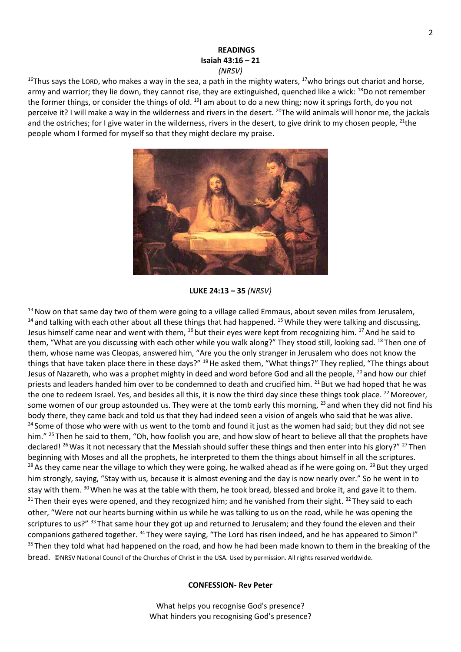## **READINGS Isaiah 43:16 – 21** *(NRSV)*

 $16$ Thus says the LORD, who makes a way in the sea, a path in the mighty waters,  $17$ who brings out chariot and horse, army and warrior; they lie down, they cannot rise, they are extinguished, quenched like a wick: <sup>18</sup>Do not remember the former things, or consider the things of old. <sup>19</sup>l am about to do a new thing; now it springs forth, do you not perceive it? I will make a way in the wilderness and rivers in the desert. <sup>20</sup>The wild animals will honor me, the jackals and the ostriches; for I give water in the wilderness, rivers in the desert, to give drink to my chosen people,  $^{21}$ the people whom I formed for myself so that they might declare my praise.



**LUKE 24:13 – 35** *(NRSV)*

<sup>13</sup> Now on that same day two of them were going to a village called Emmaus, about seven miles from Jerusalem,  $14$  and talking with each other about all these things that had happened. <sup>15</sup> While they were talking and discussing, Jesus himself came near and went with them, <sup>16</sup> but their eyes were kept from recognizing him. <sup>17</sup> And he said to them, "What are you discussing with each other while you walk along?" They stood still, looking sad. <sup>18</sup> Then one of them, whose name was Cleopas, answered him, "Are you the only stranger in Jerusalem who does not know the things that have taken place there in these days?" <sup>19</sup>He asked them, "What things?" They replied, "The things about Jesus of Nazareth, who was a prophet mighty in deed and word before God and all the people, <sup>20</sup> and how our chief priests and leaders handed him over to be condemned to death and crucified him. <sup>21</sup> But we had hoped that he was the one to redeem Israel. Yes, and besides all this, it is now the third day since these things took place. <sup>22</sup> Moreover, some women of our group astounded us. They were at the tomb early this morning, <sup>23</sup> and when they did not find his body there, they came back and told us that they had indeed seen a vision of angels who said that he was alive. <sup>24</sup> Some of those who were with us went to the tomb and found it just as the women had said; but they did not see him." <sup>25</sup> Then he said to them, "Oh, how foolish you are, and how slow of heart to believe all that the prophets have declared! <sup>26</sup> Was it not necessary that the Messiah should suffer these things and then enter into his glory?" <sup>27</sup> Then beginning with Moses and all the prophets, he interpreted to them the things about himself in all the scriptures. <sup>28</sup> As they came near the village to which they were going, he walked ahead as if he were going on. <sup>29</sup> But they urged him strongly, saying, "Stay with us, because it is almost evening and the day is now nearly over." So he went in to stay with them. <sup>30</sup> When he was at the table with them, he took bread, blessed and broke it, and gave it to them.  $31$  Then their eyes were opened, and they recognized him; and he vanished from their sight.  $32$  They said to each other, "Were not our hearts burning within us while he was talking to us on the road, while he was opening the scriptures to us?" 33 That same hour they got up and returned to Jerusalem; and they found the eleven and their companions gathered together. <sup>34</sup> They were saying, "The Lord has risen indeed, and he has appeared to Simon!" <sup>35</sup> Then they told what had happened on the road, and how he had been made known to them in the breaking of the bread. ©NRSV National Council of the Churches of Christ in the USA. Used by permission. All rights reserved worldwide.

#### **CONFESSION- Rev Peter**

What helps you recognise God's presence? What hinders you recognising God's presence?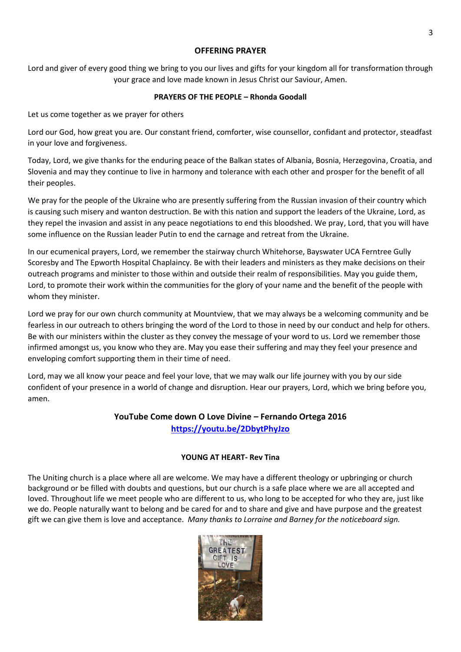## **OFFERING PRAYER**

Lord and giver of every good thing we bring to you our lives and gifts for your kingdom all for transformation through your grace and love made known in Jesus Christ our Saviour, Amen.

# **PRAYERS OF THE PEOPLE – Rhonda Goodall**

Let us come together as we prayer for others

Lord our God, how great you are. Our constant friend, comforter, wise counsellor, confidant and protector, steadfast in your love and forgiveness.

Today, Lord, we give thanks for the enduring peace of the Balkan states of Albania, Bosnia, Herzegovina, Croatia, and Slovenia and may they continue to live in harmony and tolerance with each other and prosper for the benefit of all their peoples.

We pray for the people of the Ukraine who are presently suffering from the Russian invasion of their country which is causing such misery and wanton destruction. Be with this nation and support the leaders of the Ukraine, Lord, as they repel the invasion and assist in any peace negotiations to end this bloodshed. We pray, Lord, that you will have some influence on the Russian leader Putin to end the carnage and retreat from the Ukraine.

In our ecumenical prayers, Lord, we remember the stairway church Whitehorse, Bayswater UCA Ferntree Gully Scoresby and The Epworth Hospital Chaplaincy. Be with their leaders and ministers as they make decisions on their outreach programs and minister to those within and outside their realm of responsibilities. May you guide them, Lord, to promote their work within the communities for the glory of your name and the benefit of the people with whom they minister.

Lord we pray for our own church community at Mountview, that we may always be a welcoming community and be fearless in our outreach to others bringing the word of the Lord to those in need by our conduct and help for others. Be with our ministers within the cluster as they convey the message of your word to us. Lord we remember those infirmed amongst us, you know who they are. May you ease their suffering and may they feel your presence and enveloping comfort supporting them in their time of need.

Lord, may we all know your peace and feel your love, that we may walk our life journey with you by our side confident of your presence in a world of change and disruption. Hear our prayers, Lord, which we bring before you, amen.

# **YouTube Come down O Love Divine – Fernando Ortega 2016 <https://youtu.be/2DbytPhyJzo>**

# **YOUNG AT HEART- Rev Tina**

The Uniting church is a place where all are welcome. We may have a different theology or upbringing or church background or be filled with doubts and questions, but our church is a safe place where we are all accepted and loved. Throughout life we meet people who are different to us, who long to be accepted for who they are, just like we do. People naturally want to belong and be cared for and to share and give and have purpose and the greatest gift we can give them is love and acceptance. *Many thanks to Lorraine and Barney for the noticeboard sign.*

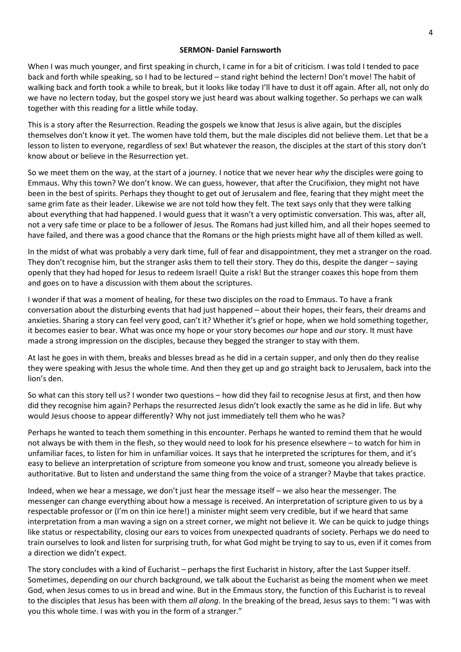#### **SERMON- Daniel Farnsworth**

When I was much younger, and first speaking in church, I came in for a bit of criticism. I was told I tended to pace back and forth while speaking, so I had to be lectured – stand right behind the lectern! Don't move! The habit of walking back and forth took a while to break, but it looks like today I'll have to dust it off again. After all, not only do we have no lectern today, but the gospel story we just heard was about walking together. So perhaps we can walk together with this reading for a little while today.

This is a story after the Resurrection. Reading the gospels we know that Jesus is alive again, but the disciples themselves don't know it yet. The women have told them, but the male disciples did not believe them. Let that be a lesson to listen to everyone, regardless of sex! But whatever the reason, the disciples at the start of this story don't know about or believe in the Resurrection yet.

So we meet them on the way, at the start of a journey. I notice that we never hear *why* the disciples were going to Emmaus. Why this town? We don't know. We can guess, however, that after the Crucifixion, they might not have been in the best of spirits. Perhaps they thought to get out of Jerusalem and flee, fearing that they might meet the same grim fate as their leader. Likewise we are not told how they felt. The text says only that they were talking about everything that had happened. I would guess that it wasn't a very optimistic conversation. This was, after all, not a very safe time or place to be a follower of Jesus. The Romans had just killed him, and all their hopes seemed to have failed, and there was a good chance that the Romans or the high priests might have all of them killed as well.

In the midst of what was probably a very dark time, full of fear and disappointment, they met a stranger on the road. They don't recognise him, but the stranger asks them to tell their story. They do this, despite the danger – saying openly that they had hoped for Jesus to redeem Israel! Quite a risk! But the stranger coaxes this hope from them and goes on to have a discussion with them about the scriptures.

I wonder if that was a moment of healing, for these two disciples on the road to Emmaus. To have a frank conversation about the disturbing events that had just happened – about their hopes, their fears, their dreams and anxieties. Sharing a story can feel very good, can't it? Whether it's grief or hope, when we hold something together, it becomes easier to bear. What was once my hope or your story becomes *our* hope and *our* story. It must have made a strong impression on the disciples, because they begged the stranger to stay with them.

At last he goes in with them, breaks and blesses bread as he did in a certain supper, and only then do they realise they were speaking with Jesus the whole time. And then they get up and go straight back to Jerusalem, back into the lion's den.

So what can this story tell us? I wonder two questions – how did they fail to recognise Jesus at first, and then how did they recognise him again? Perhaps the resurrected Jesus didn't look exactly the same as he did in life. But why would Jesus choose to appear differently? Why not just immediately tell them who he was?

Perhaps he wanted to teach them something in this encounter. Perhaps he wanted to remind them that he would not always be with them in the flesh, so they would need to look for his presence elsewhere – to watch for him in unfamiliar faces, to listen for him in unfamiliar voices. It says that he interpreted the scriptures for them, and it's easy to believe an interpretation of scripture from someone you know and trust, someone you already believe is authoritative. But to listen and understand the same thing from the voice of a stranger? Maybe that takes practice.

Indeed, when we hear a message, we don't just hear the message itself – we also hear the messenger. The messenger can change everything about how a message is received. An interpretation of scripture given to us by a respectable professor or (I'm on thin ice here!) a minister might seem very credible, but if we heard that same interpretation from a man waving a sign on a street corner, we might not believe it. We can be quick to judge things like status or respectability, closing our ears to voices from unexpected quadrants of society. Perhaps we do need to train ourselves to look and listen for surprising truth, for what God might be trying to say to us, even if it comes from a direction we didn't expect.

The story concludes with a kind of Eucharist – perhaps the first Eucharist in history, after the Last Supper itself. Sometimes, depending on our church background, we talk about the Eucharist as being the moment when we meet God, when Jesus comes to us in bread and wine. But in the Emmaus story, the function of this Eucharist is to reveal to the disciples that Jesus has been with them *all along*. In the breaking of the bread, Jesus says to them: "I was with you this whole time. I was with you in the form of a stranger."